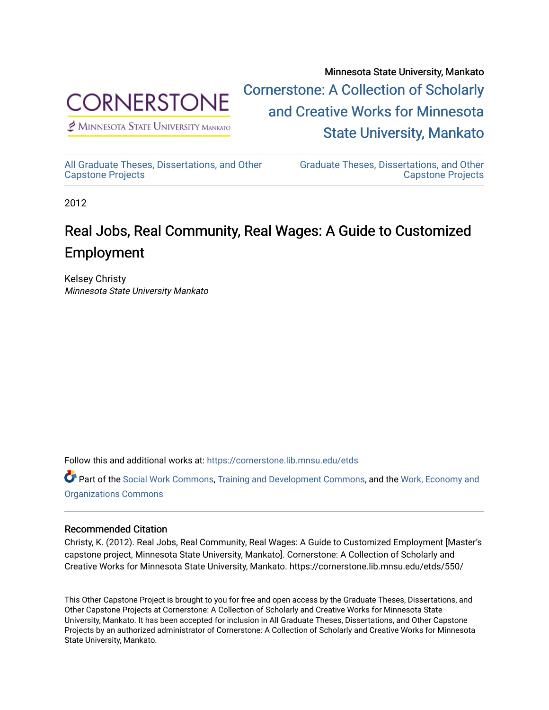

 $<sup>2</sup>$  Minnesota State University Mankato</sup>

Minnesota State University, Mankato [Cornerstone: A Collection of Scholarly](https://cornerstone.lib.mnsu.edu/)  [and Creative Works for Minnesota](https://cornerstone.lib.mnsu.edu/)  [State University, Mankato](https://cornerstone.lib.mnsu.edu/) 

[All Graduate Theses, Dissertations, and Other](https://cornerstone.lib.mnsu.edu/etds)  [Capstone Projects](https://cornerstone.lib.mnsu.edu/etds) 

[Graduate Theses, Dissertations, and Other](https://cornerstone.lib.mnsu.edu/theses_dissertations-capstone)  [Capstone Projects](https://cornerstone.lib.mnsu.edu/theses_dissertations-capstone) 

2012

### Real Jobs, Real Community, Real Wages: A Guide to Customized Employment

Kelsey Christy Minnesota State University Mankato

Follow this and additional works at: [https://cornerstone.lib.mnsu.edu/etds](https://cornerstone.lib.mnsu.edu/etds?utm_source=cornerstone.lib.mnsu.edu%2Fetds%2F550&utm_medium=PDF&utm_campaign=PDFCoverPages) 

Part of the [Social Work Commons](http://network.bepress.com/hgg/discipline/713?utm_source=cornerstone.lib.mnsu.edu%2Fetds%2F550&utm_medium=PDF&utm_campaign=PDFCoverPages), [Training and Development Commons](http://network.bepress.com/hgg/discipline/1257?utm_source=cornerstone.lib.mnsu.edu%2Fetds%2F550&utm_medium=PDF&utm_campaign=PDFCoverPages), and the [Work, Economy and](http://network.bepress.com/hgg/discipline/433?utm_source=cornerstone.lib.mnsu.edu%2Fetds%2F550&utm_medium=PDF&utm_campaign=PDFCoverPages)  [Organizations Commons](http://network.bepress.com/hgg/discipline/433?utm_source=cornerstone.lib.mnsu.edu%2Fetds%2F550&utm_medium=PDF&utm_campaign=PDFCoverPages)

### Recommended Citation

Christy, K. (2012). Real Jobs, Real Community, Real Wages: A Guide to Customized Employment [Master's capstone project, Minnesota State University, Mankato]. Cornerstone: A Collection of Scholarly and Creative Works for Minnesota State University, Mankato. https://cornerstone.lib.mnsu.edu/etds/550/

This Other Capstone Project is brought to you for free and open access by the Graduate Theses, Dissertations, and Other Capstone Projects at Cornerstone: A Collection of Scholarly and Creative Works for Minnesota State University, Mankato. It has been accepted for inclusion in All Graduate Theses, Dissertations, and Other Capstone Projects by an authorized administrator of Cornerstone: A Collection of Scholarly and Creative Works for Minnesota State University, Mankato.